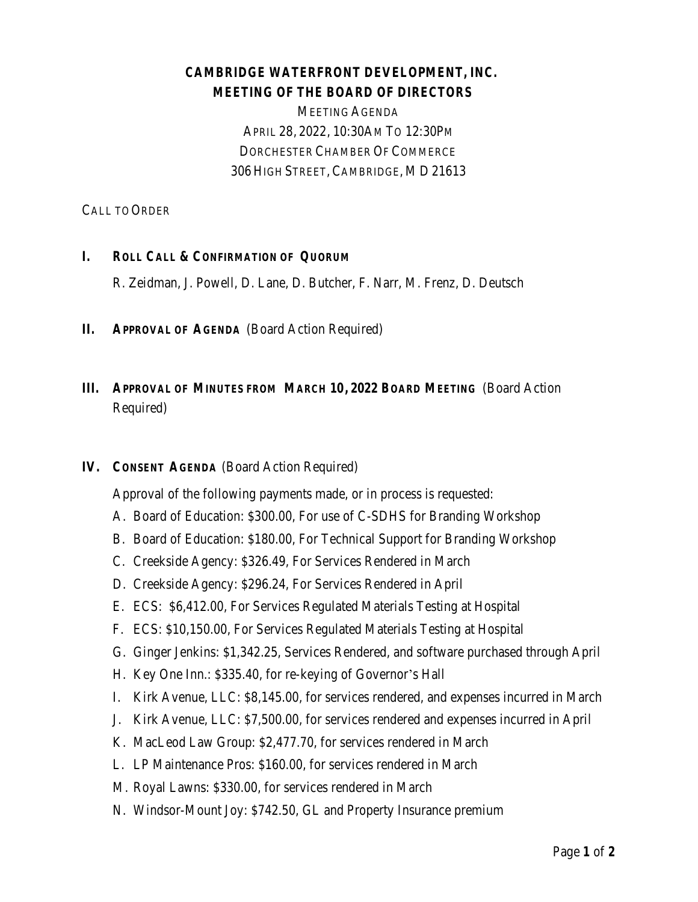## **CAMBRIDGE WATERFRONT DEVELOPMENT, INC. MEETING OF THE BOARD OF DIRECTORS**

MEETING AGENDA APRIL 28, 2022, 10:30AM TO 12:30PM DORCHESTER CHAMBER OF COMMERCE 306 HIGH STREET, CAMBRIDGE, MD 21613

CALL TO ORDER

### **I. ROLL CALL & CONFIRMATION OF QUORUM**

R. Zeidman, J. Powell, D. Lane, D. Butcher, F. Narr, M. Frenz, D. Deutsch

**II. APPROVAL OF AGENDA** (Board Action Required)

# **III. APPROVAL OF MINUTES FROM MARCH 10, 2022 BOARD MEETING** (Board Action Required)

#### **IV. CONSENT AGENDA** (Board Action Required)

Approval of the following payments made, or in process is requested:

- A. Board of Education: \$300.00, For use of C-SDHS for Branding Workshop
- B. Board of Education: \$180.00, For Technical Support for Branding Workshop
- C. Creekside Agency: \$326.49, For Services Rendered in March
- D. Creekside Agency: \$296.24, For Services Rendered in April
- E. ECS: \$6,412.00, For Services Regulated Materials Testing at Hospital
- F. ECS: \$10,150.00, For Services Regulated Materials Testing at Hospital
- G. Ginger Jenkins: \$1,342.25, Services Rendered, and software purchased through April
- H. Key One Inn.: \$335.40, for re-keying of Governor's Hall
- I. Kirk Avenue, LLC: \$8,145.00, for services rendered, and expenses incurred in March
- J. Kirk Avenue, LLC: \$7,500.00, for services rendered and expenses incurred in April
- K. MacLeod Law Group: \$2,477.70, for services rendered in March
- L. LP Maintenance Pros: \$160.00, for services rendered in March
- M. Royal Lawns: \$330.00, for services rendered in March
- N. Windsor-Mount Joy: \$742.50, GL and Property Insurance premium